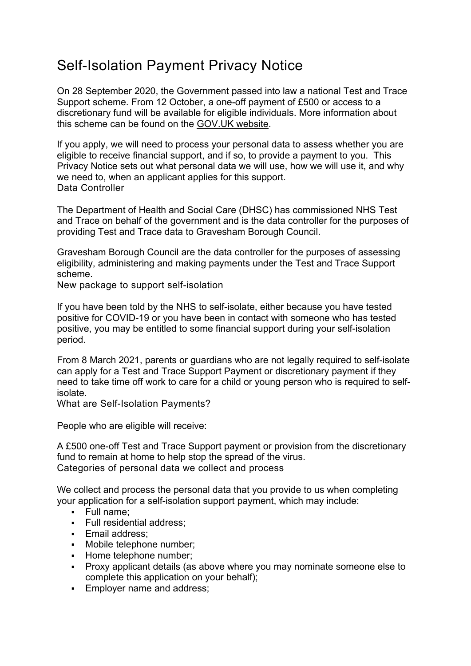## Self-Isolation Payment Privacy Notice

On 28 September 2020, the Government passed into law a national Test and Trace Support scheme. From 12 October, a one-off payment of £500 or access to a discretionary fund will be available for eligible individuals. More information about this scheme can be found on the [GOV.UK website.](https://www.gov.uk/government/news/new-payment-for-people-self-isolating-in-highest-risk-areas)

If you apply, we will need to process your personal data to assess whether you are eligible to receive financial support, and if so, to provide a payment to you. This Privacy Notice sets out what personal data we will use, how we will use it, and why we need to, when an applicant applies for this support. Data Controller

The Department of Health and Social Care (DHSC) has commissioned NHS Test and Trace on behalf of the government and is the data controller for the purposes of providing Test and Trace data to Gravesham Borough Council.

Gravesham Borough Council are the data controller for the purposes of assessing eligibility, administering and making payments under the Test and Trace Support scheme.

New package to support self-isolation

If you have been told by the NHS to self-isolate, either because you have tested positive for COVID-19 or you have been in contact with someone who has tested positive, you may be entitled to some financial support during your self-isolation period.

From 8 March 2021, parents or guardians who are not legally required to self-isolate can apply for a Test and Trace Support Payment or discretionary payment if they need to take time off work to care for a child or young person who is required to selfisolate.

What are Self-Isolation Payments?

People who are eligible will receive:

A £500 one-off Test and Trace Support payment or provision from the discretionary fund to remain at home to help stop the spread of the virus. Categories of personal data we collect and process

We collect and process the personal data that you provide to us when completing your application for a self-isolation support payment, which may include:

- Full name:
- **Full residential address;**
- **Email address:**
- **Mobile telephone number;**
- **Home telephone number;**
- Proxy applicant details (as above where you may nominate someone else to complete this application on your behalf);
- **Employer name and address:**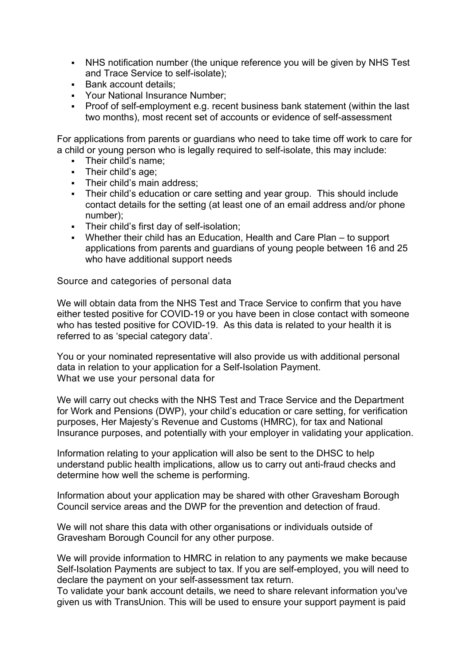- NHS notification number (the unique reference you will be given by NHS Test and Trace Service to self-isolate);
- Bank account details:
- Your National Insurance Number;
- Proof of self-employment e.g. recent business bank statement (within the last two months), most recent set of accounts or evidence of self-assessment

For applications from parents or guardians who need to take time off work to care for a child or young person who is legally required to self-isolate, this may include:

- **Their child's name:**
- **Their child's age:**
- Their child's main address:
- Their child's education or care setting and year group. This should include contact details for the setting (at least one of an email address and/or phone number);
- **Their child's first day of self-isolation;**
- Whether their child has an Education, Health and Care Plan to support applications from parents and guardians of young people between 16 and 25 who have additional support needs

Source and categories of personal data

We will obtain data from the NHS Test and Trace Service to confirm that you have either tested positive for COVID-19 or you have been in close contact with someone who has tested positive for COVID-19. As this data is related to your health it is referred to as 'special category data'.

You or your nominated representative will also provide us with additional personal data in relation to your application for a Self-Isolation Payment. What we use your personal data for

We will carry out checks with the NHS Test and Trace Service and the Department for Work and Pensions (DWP), your child's education or care setting, for verification purposes, Her Majesty's Revenue and Customs (HMRC), for tax and National Insurance purposes, and potentially with your employer in validating your application.

Information relating to your application will also be sent to the DHSC to help understand public health implications, allow us to carry out anti-fraud checks and determine how well the scheme is performing.

Information about your application may be shared with other Gravesham Borough Council service areas and the DWP for the prevention and detection of fraud.

We will not share this data with other organisations or individuals outside of Gravesham Borough Council for any other purpose.

We will provide information to HMRC in relation to any payments we make because Self-Isolation Payments are subject to tax. If you are self-employed, you will need to declare the payment on your self-assessment tax return.

To validate your bank account details, we need to share relevant information you've given us with TransUnion. This will be used to ensure your support payment is paid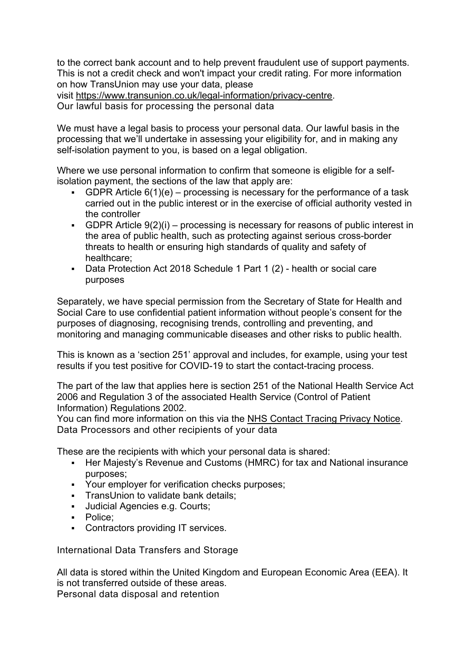to the correct bank account and to help prevent fraudulent use of support payments. This is not a credit check and won't impact your credit rating. For more information on how TransUnion may use your data, please visit [https://www.transunion.co.uk/legal-information/privacy-centre.](https://www.transunion.co.uk/legal-information/privacy-centre)

Our lawful basis for processing the personal data

We must have a legal basis to process your personal data. Our lawful basis in the processing that we'll undertake in assessing your eligibility for, and in making any self-isolation payment to you, is based on a legal obligation.

Where we use personal information to confirm that someone is eligible for a selfisolation payment, the sections of the law that apply are:

- GDPR Article  $6(1)(e)$  processing is necessary for the performance of a task carried out in the public interest or in the exercise of official authority vested in the controller
- GDPR Article  $9(2)(i)$  processing is necessary for reasons of public interest in the area of public health, such as protecting against serious cross-border threats to health or ensuring high standards of quality and safety of healthcare;
- Data Protection Act 2018 Schedule 1 Part 1 (2) health or social care purposes

Separately, we have special permission from the Secretary of State for Health and Social Care to use confidential patient information without people's consent for the purposes of diagnosing, recognising trends, controlling and preventing, and monitoring and managing communicable diseases and other risks to public health.

This is known as a 'section 251' approval and includes, for example, using your test results if you test positive for COVID-19 to start the contact-tracing process.

The part of the law that applies here is section 251 of the National Health Service Act 2006 and Regulation 3 of the associated Health Service (Control of Patient Information) Regulations 2002.

You can find more information on this via the [NHS Contact Tracing Privacy Notice.](https://contact-tracing.phe.gov.uk/help/privacy-notice) Data Processors and other recipients of your data

These are the recipients with which your personal data is shared:

- Her Majesty's Revenue and Customs (HMRC) for tax and National insurance purposes;
- Your employer for verification checks purposes;
- **TransUnion to validate bank details:**
- Judicial Agencies e.g. Courts;
- **Police:**
- **Contractors providing IT services.**

International Data Transfers and Storage

All data is stored within the United Kingdom and European Economic Area (EEA). It is not transferred outside of these areas. Personal data disposal and retention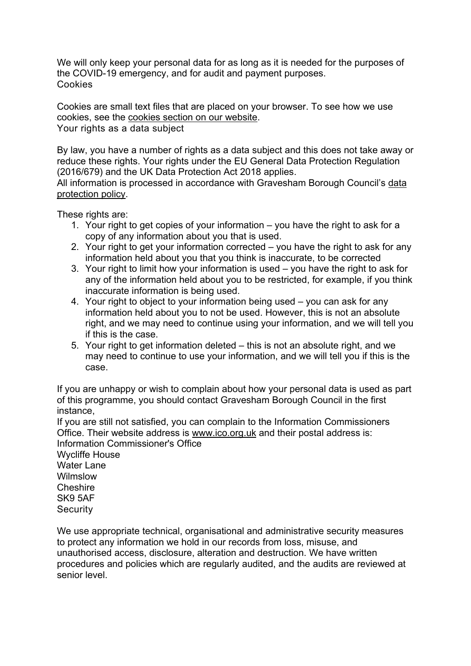We will only keep your personal data for as long as it is needed for the purposes of the COVID-19 emergency, and for audit and payment purposes. Cookies

Cookies are small text files that are placed on your browser. To see how we use cookies, see the [cookies section on our website.](https://pre.gravesham.gov.uk/website-information/privacy/4) Your rights as a data subject

By law, you have a number of rights as a data subject and this does not take away or reduce these rights. Your rights under the EU General Data Protection Regulation (2016/679) and the UK Data Protection Act 2018 applies.

All information is processed in accordance with Gravesham Borough Council's [data](https://pre.gravesham.gov.uk/downloads/file/90/data-protection-policy-accessible-)  [protection policy.](https://pre.gravesham.gov.uk/downloads/file/90/data-protection-policy-accessible-)

These rights are:

- 1. Your right to get copies of your information you have the right to ask for a copy of any information about you that is used.
- 2. Your right to get your information corrected you have the right to ask for any information held about you that you think is inaccurate, to be corrected
- 3. Your right to limit how your information is used you have the right to ask for any of the information held about you to be restricted, for example, if you think inaccurate information is being used.
- 4. Your right to object to your information being used you can ask for any information held about you to not be used. However, this is not an absolute right, and we may need to continue using your information, and we will tell you if this is the case.
- 5. Your right to get information deleted this is not an absolute right, and we may need to continue to use your information, and we will tell you if this is the case.

If you are unhappy or wish to complain about how your personal data is used as part of this programme, you should contact Gravesham Borough Council in the first instance,

If you are still not satisfied, you can complain to the Information Commissioners Office. Their website address is [www.ico.org.uk](http://www.ico.org.uk/) and their postal address is: Information Commissioner's Office

Wycliffe House Water Lane Wilmslow Cheshire SK9 5AF **Security** 

We use appropriate technical, organisational and administrative security measures to protect any information we hold in our records from loss, misuse, and unauthorised access, disclosure, alteration and destruction. We have written procedures and policies which are regularly audited, and the audits are reviewed at senior level.